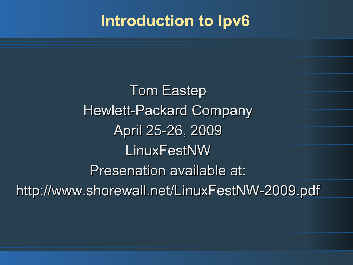#### **Introduction to Ipv6**

Tom Eastep Hewlett-Packard Company April 25-26, 2009 LinuxFestNW Presenation available at: http://www.shorewall.net/LinuxFestNW-2009.pdf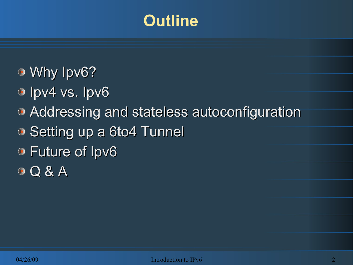# **Outline**

- Why Ipv6?
- <sup>o</sup> Ipv4 vs. Ipv6
- Addressing and stateless autoconfiguration
- Setting up a 6to4 Tunnel
- Future of Ipv6
- **O Q & A**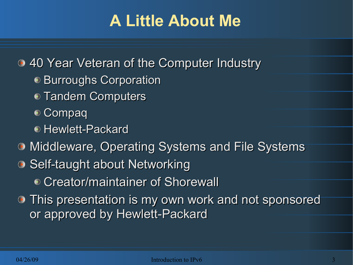# **A Little About Me**

40 Year Veteran of the Computer Industry

- Burroughs Corporation
- **Tandem Computers**
- Compaq
- Hewlett-Packard
- Middleware, Operating Systems and File Systems
- **Self-taught about Networking** 
	- Creator/maintainer of Shorewall
- This presentation is my own work and not sponsored or approved by Hewlett-Packard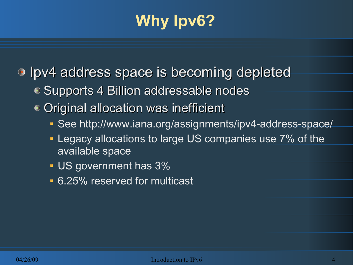# **Why Ipv6?**

**I** lpv4 address space is becoming depleted

- Supports 4 Billion addressable nodes
- Original allocation was inefficient
	- See http://www.iana.org/assignments/ipv4-address-space/
	- **Legacy allocations to large US companies use 7% of the** available space
	- US government has  $3%$
	- **6.25% reserved for multicast**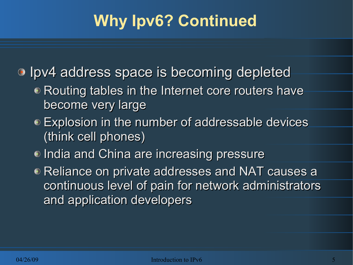# **Why Ipv6? Continued**

 $\bullet$  Ipv4 address space is becoming depleted

- Routing tables in the Internet core routers have become very large
- Explosion in the number of addressable devices (think cell phones)
- India and China are increasing pressure
- Reliance on private addresses and NAT causes a continuous level of pain for network administrators and application developers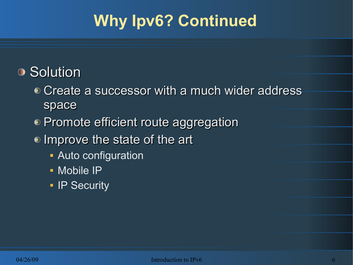# **Why Ipv6? Continued**

#### ● Solution

- Create a successor with a much wider address space
- Promote efficient route aggregation
- Improve the state of the art
	- **Auto configuration**
	- **Mobile IP**
	- **IP Security**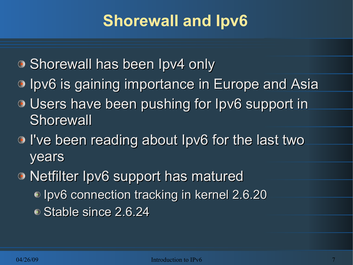# **Shorewall and Ipv6**

- Shorewall has been Ipv4 only
- **Ipv6 is gaining importance in Europe and Asia**
- Users have been pushing for Ipv6 support in **Shorewall**
- I've been reading about Ipv6 for the last two years
- Netfilter Ipv6 support has matured ● Ipv6 connection tracking in kernel 2.6.20 ● Stable since 2.6.24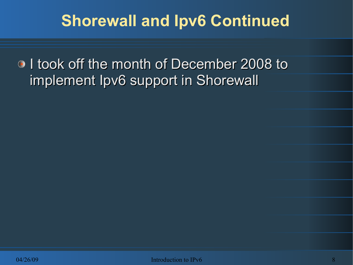## **Shorewall and Ipv6 Continued**

**I** took off the month of December 2008 to implement Ipv6 support in Shorewall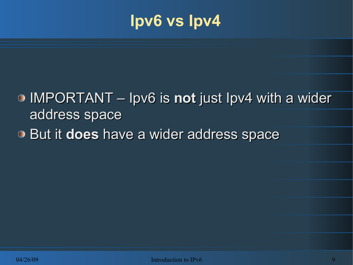#### **Ipv6 vs Ipv4**

- IMPORTANT Ipv6 is **not** just Ipv4 with a wider address space
- **But it does have a wider address space**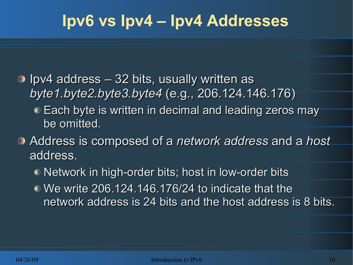- $\odot$  Ipv4 address  $-$  32 bits, usually written as *byte1.byte2.byte3.byte4* (e.g., 206.124.146.176)
	- Each byte is written in decimal and leading zeros may be omitted.
- Address is composed of a *network address* and a *host*  address.
	- Network in high-order bits; host in low-order bits
	- We write 206.124.146.176/24 to indicate that the network address is 24 bits and the host address is 8 bits.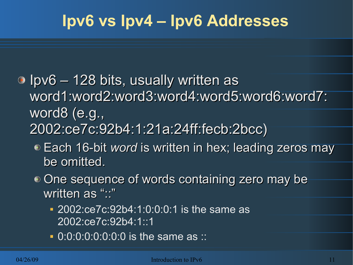- $\bullet$  Ipv6 128 bits, usually written as word1:word2:word3:word4:word5:word6:word7: word8 (e.g., 2002:ce7c:92b4:1:21a:24ff:fecb:2bcc)
	- Each 16-bit *word* is written in hex; leading zeros may be omitted.
	- One sequence of words containing zero may be written as "::"
		- **2002:ce7c:92b4:1:0:0:0:1 is the same as** 2002:ce7c:92b4:1::1
		- 0:0:0:0:0:0:0:0 is the same as ::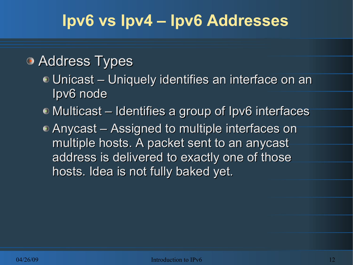#### **• Address Types**

- Unicast Uniquely identifies an interface on an Ipv6 node
- Multicast Identifies a group of Ipv6 interfaces
- Anycast Assigned to multiple interfaces on multiple hosts. A packet sent to an anycast address is delivered to exactly one of those hosts. Idea is not fully baked yet.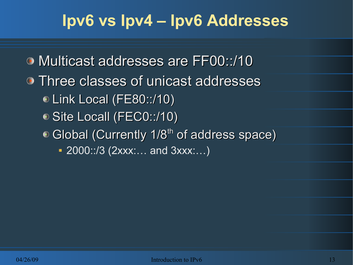- Multicast addresses are FF00::/10
- Three classes of unicast addresses
	- Link Local (FE80::/10)
	- Site Locall (FEC0::/10)
	- $\bullet$  Global (Currently 1/8<sup>th</sup> of address space)
		- 2000::/3 (2xxx:… and 3xxx:…)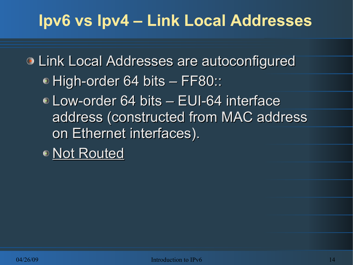## **Ipv6 vs Ipv4 – Link Local Addresses**

Link Local Addresses are autoconfigured • High-order 64 bits – FF80::

Low-order 64 bits – EUI-64 interface address (constructed from MAC address on Ethernet interfaces).

● Not Routed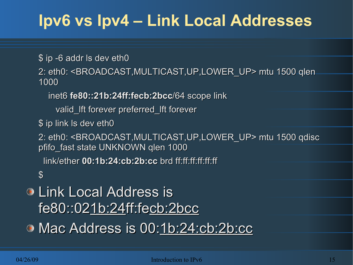# **Ipv6 vs Ipv4 – Link Local Addresses**

\$ ip -6 addr ls dev eth0

2: eth0: <BROADCAST,MULTICAST,UP,LOWER\_UP> mtu 1500 qlen 1000

inet6 **fe80::21b:24ff:fecb:2bcc**/64 scope link

valid\_lft forever preferred\_lft forever

\$ ip link ls dev eth0

2: eth0: <BROADCAST,MULTICAST,UP,LOWER\_UP> mtu 1500 qdisc pfifo fast state UNKNOWN qlen 1000

link/ether **00:1b:24:cb:2b:cc** brd ff:ff:ff:ff:ff:ff

 $\mathbf{\mathfrak{L}}$ 

#### Link Local Address is fe80::021b:24ff:fecb:2bcc

Mac Address is 00:1b:24:cb:2b:cc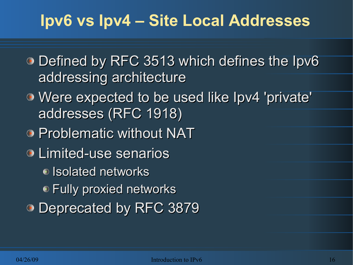## **Ipv6 vs Ipv4 – Site Local Addresses**

- Defined by RFC 3513 which defines the Ipv6 addressing architecture
- Were expected to be used like Ipv4 'private' addresses (RFC 1918)
- **Problematic without NAT**
- Limited-use senarios
	- Isolated networks
	- Fully proxied networks
- Deprecated by RFC 3879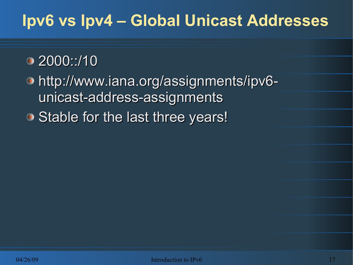# **Ipv6 vs Ipv4 – Global Unicast Addresses**

#### 2000::/10

http://www.iana.org/assignments/ipv6 unicast-address-assignments ● Stable for the last three years!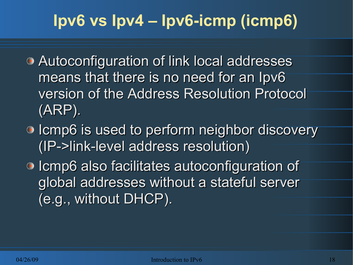# **Ipv6 vs Ipv4 – Ipv6-icmp (icmp6)**

- Autoconfiguration of link local addresses means that there is no need for an Ipv6 version of the Address Resolution Protocol (ARP).
- Icmp6 is used to perform neighbor discovery (IP->link-level address resolution)
- Icmp6 also facilitates autoconfiguration of global addresses without a stateful server (e.g., without DHCP).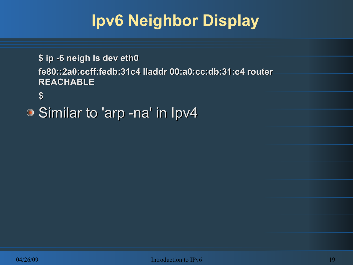# **Ipv6 Neighbor Display**

**\$ ip -6 neigh ls dev eth0 fe80::2a0:ccff:fedb:31c4 lladdr 00:a0:cc:db:31:c4 router REACHABLE**

**\$** 

Similar to 'arp -na' in Ipv4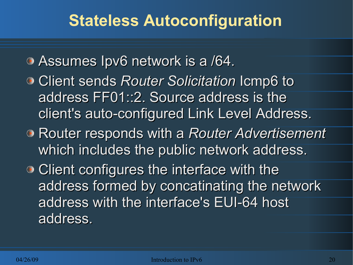## **Stateless Autoconfiguration**

- Assumes Ipv6 network is a /64.
- Client sends *Router Solicitation* Icmp6 to address FF01::2. Source address is the client's auto-configured Link Level Address.
- Router responds with a *Router Advertisement*  which includes the public network address.
- Client configures the interface with the address formed by concatinating the network address with the interface's EUI-64 host address.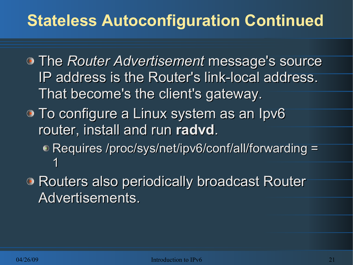# **Stateless Autoconfiguration Continued**

- The *Router Advertisement* message's source IP address is the Router's link-local address. That become's the client's gateway.
- **To configure a Linux system as an Ipv6** router, install and run **radvd**.
	- Requires /proc/sys/net/ipv6/conf/all/forwarding = 1
- **Routers also periodically broadcast Router** Advertisements.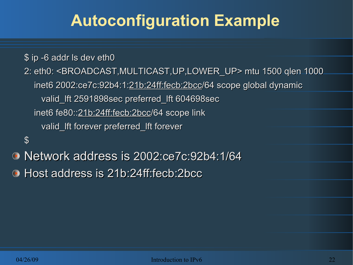# **Autoconfiguration Example**

\$ ip -6 addr ls dev eth0

2: eth0: <BROADCAST,MULTICAST,UP,LOWER\_UP> mtu 1500 qlen 1000 inet6 2002:ce7c:92b4:1:21b:24ff:fecb:2bcc/64 scope global dynamic valid\_lft 2591898sec preferred\_lft 604698sec inet6 fe80::21b:24ff:fecb:2bcc/64 scope link valid\_lft forever preferred\_lft forever

 $\boldsymbol{\theta}$ 

Network address is 2002:ce7c:92b4:1/64 Host address is 21b:24ff:fecb:2bcc $\bigodot$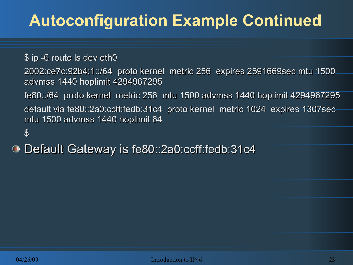# **Autoconfiguration Example Continued**

\$ ip -6 route ls dev eth0

2002:ce7c:92b4:1::/64 proto kernel metric 256 expires 2591669sec mtu 1500 advmss 1440 hoplimit 4294967295

fe80::/64 proto kernel metric 256 mtu 1500 advmss 1440 hoplimit 4294967295

default via fe80::2a0:ccff:fedb:31c4 proto kernel metric 1024 expires 1307sec mtu 1500 advmss 1440 hoplimit 64

\$

Default Gateway is fe80::2a0:ccff:fedb:31c4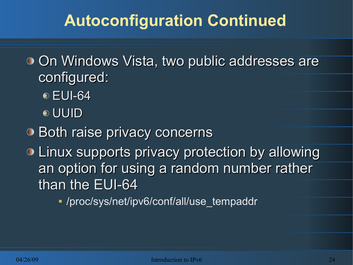# **Autoconfiguration Continued**

**• On Windows Vista, two public addresses are** configured:

- **EUI-64**
- UUID
- **Both raise privacy concerns**
- **Einux supports privacy protection by allowing** an option for using a random number rather than the EUI-64

/proc/sys/net/ipv6/conf/all/use\_tempaddr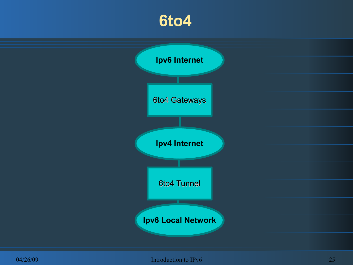#### **6to4**

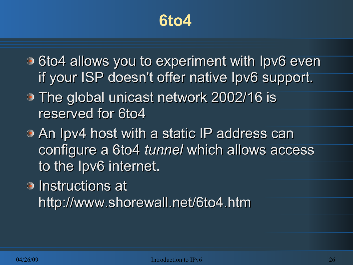#### **6to4**

- $\bullet$  6to4 allows you to experiment with Ipv6 even if your ISP doesn't offer native Ipv6 support.
- The global unicast network 2002/16 is reserved for 6to4
- An Ipv4 host with a static IP address can configure a 6to4 *tunnel* which allows access to the Ipv6 internet.
- **Instructions at** http://www.shorewall.net/6to4.htm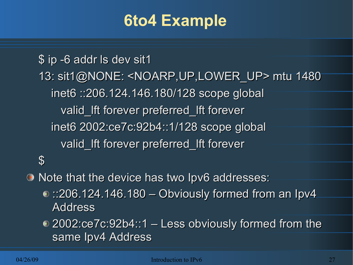### **6to4 Example**

\$ ip -6 addr ls dev sit1 13: sit1@NONE: <NOARP,UP,LOWER\_UP> mtu 1480 inet6 ::206.124.146.180/128 scope global valid Ift forever preferred Ift forever inet6 2002:ce7c:92b4::1/128 scope global valid Ift forever preferred Ift forever  $\boldsymbol{\theta}$ 

Note that the device has two Ipv6 addresses:

 $\odot$ :206.124.146.180 – Obviously formed from an Ipv4 Address

2002:ce7c:92b4::1 – Less obviously formed from the same Ipv4 Address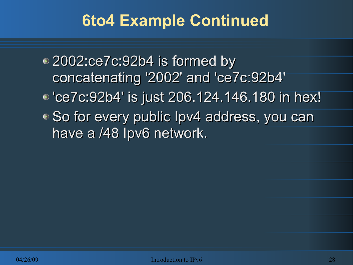# **6to4 Example Continued**

2002:ce7c:92b4 is formed by concatenating '2002' and 'ce7c:92b4' 'ce7c:92b4' is just 206.124.146.180 in hex! ● So for every public Ipv4 address, you can have a /48 Ipv6 network.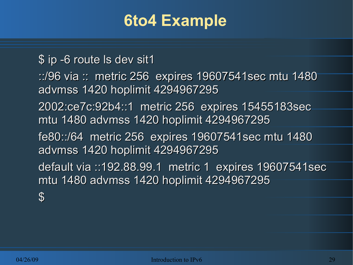#### **6to4 Example**

\$ ip -6 route ls dev sit1

::/96 via :: metric 256 expires 19607541sec mtu 1480 advmss 1420 hoplimit 4294967295

2002:ce7c:92b4::1 metric 256 expires 15455183sec mtu 1480 advmss 1420 hoplimit 4294967295

fe80::/64 metric 256 expires 19607541sec mtu 1480 advmss 1420 hoplimit 4294967295

default via ::192.88.99.1 metric 1 expires 19607541sec mtu 1480 advmss 1420 hoplimit 4294967295

\$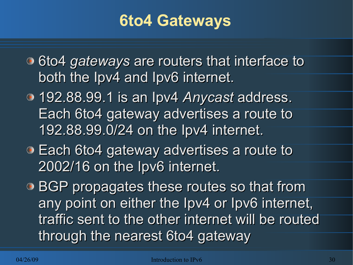### **6to4 Gateways**

- **6to4 gateways are routers that interface to** both the Ipv4 and Ipv6 internet.
- 192.88.99.1 is an Ipv4 *Anycast* address. Each 6to4 gateway advertises a route to 192.88.99.0/24 on the Ipv4 internet.
- Each 6to4 gateway advertises a route to 2002/16 on the Ipv6 internet.
- BGP propagates these routes so that from any point on either the Ipv4 or Ipv6 internet, traffic sent to the other internet will be routed through the nearest 6to4 gateway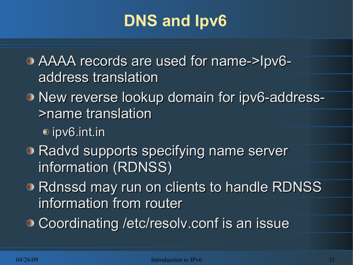# **DNS and Ipv6**

AAAA records are used for name->Ipv6 address translation

New reverse lookup domain for ipv6-address- >name translation

ipv6.int.in

- Radvd supports specifying name server information (RDNSS)
- Rdnssd may run on clients to handle RDNSS information from router
- **Coordinating /etc/resolv.conf is an issue**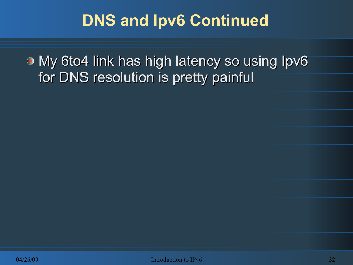# **DNS and Ipv6 Continued**

**• My 6to4 link has high latency so using Ipv6** for DNS resolution is pretty painful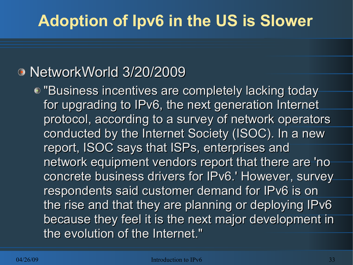## **Adoption of Ipv6 in the US is Slower**

#### NetworkWorld 3/20/2009

● "Business incentives are completely lacking today for upgrading to IPv6, the next generation Internet protocol, according to a survey of network operators conducted by the Internet Society (ISOC). In a new report, ISOC says that ISPs, enterprises and network equipment vendors report that there are 'no concrete business drivers for IPv6.' However, survey respondents said customer demand for IPv6 is on the rise and that they are planning or deploying IPv6 because they feel it is the next major development in the evolution of the Internet."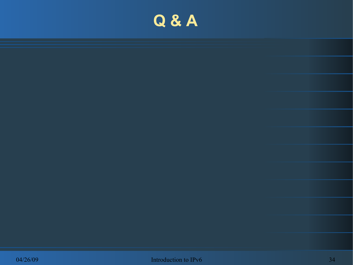